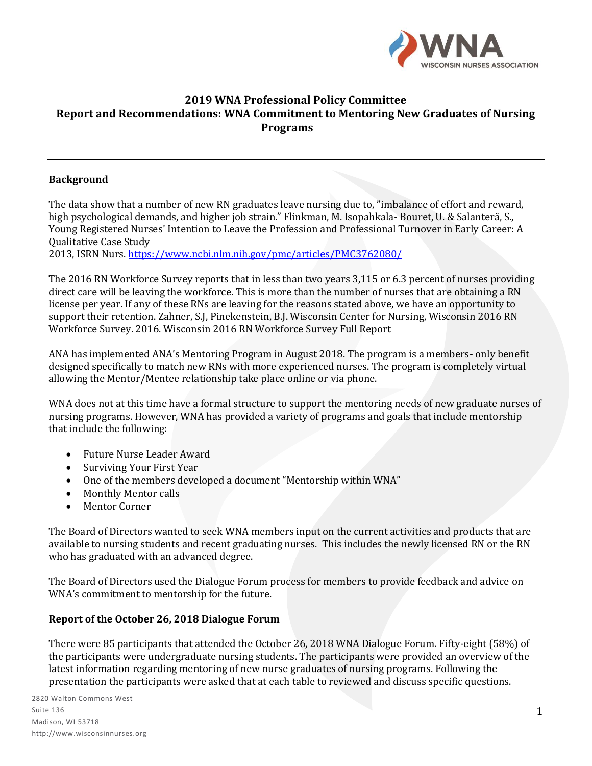

# **2019 WNA Professional Policy Committee Report and Recommendations: WNA Commitment to Mentoring New Graduates of Nursing Programs**

#### **Background**

The data show that a number of new RN graduates leave nursing due to, "imbalance of effort and reward, high psychological demands, and higher job strain." Flinkman, M. Isopahkala- Bouret, U. & Salanterä, S., Young Registered Nurses' Intention to Leave the Profession and Professional Turnover in Early Career: A Qualitative Case Study

2013, ISRN Nurs[. https://www.ncbi.nlm.nih.gov/pmc/articles/PMC3762080/](https://www.ncbi.nlm.nih.gov/pmc/articles/PMC3762080/)

The 2016 RN Workforce Survey reports that in less than two years 3,115 or 6.3 percent of nurses providing direct care will be leaving the workforce. This is more than the number of nurses that are obtaining a RN license per year. If any of these RNs are leaving for the reasons stated above, we have an opportunity to support their retention. Zahner, S.J, Pinekenstein, B.J. Wisconsin Center for Nursing, Wisconsin 2016 RN Workforce Survey. 2016. Wisconsin 2016 RN Workforce Survey Full Report

ANA has implemented ANA's Mentoring Program in August 2018. The program is a members- only benefit designed specifically to match new RNs with more experienced nurses. The program is completely virtual allowing the Mentor/Mentee relationship take place online or via phone.

WNA does not at this time have a formal structure to support the mentoring needs of new graduate nurses of nursing programs. However, WNA has provided a variety of programs and goals that include mentorship that include the following:

- Future Nurse Leader Award
- Surviving Your First Year
- One of the members developed a document "Mentorship within WNA"
- Monthly Mentor calls
- Mentor Corner

The Board of Directors wanted to seek WNA members input on the current activities and products that are available to nursing students and recent graduating nurses. This includes the newly licensed RN or the RN who has graduated with an advanced degree.

The Board of Directors used the Dialogue Forum process for members to provide feedback and advice on WNA's commitment to mentorship for the future.

#### **Report of the October 26, 2018 Dialogue Forum**

There were 85 participants that attended the October 26, 2018 WNA Dialogue Forum. Fifty-eight (58%) of the participants were undergraduate nursing students. The participants were provided an overview of the latest information regarding mentoring of new nurse graduates of nursing programs. Following the presentation the participants were asked that at each table to reviewed and discuss specific questions.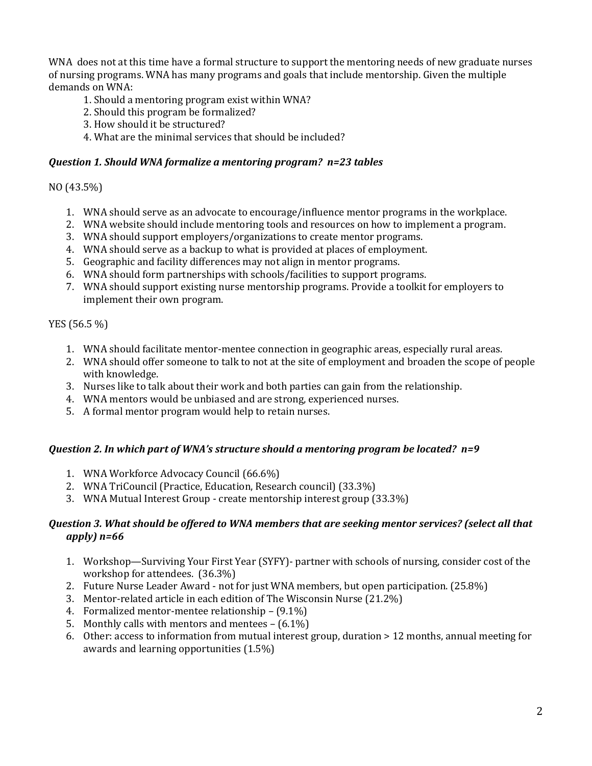WNA does not at this time have a formal structure to support the mentoring needs of new graduate nurses of nursing programs. WNA has many programs and goals that include mentorship. Given the multiple demands on WNA:

- 1. Should a mentoring program exist within WNA?
- 2. Should this program be formalized?
- 3. How should it be structured?
- 4. What are the minimal services that should be included?

## *Question 1. Should WNA formalize a mentoring program? n=23 tables*

## NO (43.5%)

- 1. WNA should serve as an advocate to encourage/influence mentor programs in the workplace.
- 2. WNA website should include mentoring tools and resources on how to implement a program.
- 3. WNA should support employers/organizations to create mentor programs.
- 4. WNA should serve as a backup to what is provided at places of employment.
- 5. Geographic and facility differences may not align in mentor programs.
- 6. WNA should form partnerships with schools/facilities to support programs.
- 7. WNA should support existing nurse mentorship programs. Provide a toolkit for employers to implement their own program.

# YES (56.5 %)

- 1. WNA should facilitate mentor-mentee connection in geographic areas, especially rural areas.
- 2. WNA should offer someone to talk to not at the site of employment and broaden the scope of people with knowledge.
- 3. Nurses like to talk about their work and both parties can gain from the relationship.
- 4. WNA mentors would be unbiased and are strong, experienced nurses.
- 5. A formal mentor program would help to retain nurses.

### *Question 2. In which part of WNA's structure should a mentoring program be located? n=9*

- 1. WNA Workforce Advocacy Council (66.6%)
- 2. WNA TriCouncil (Practice, Education, Research council) (33.3%)
- 3. WNA Mutual Interest Group create mentorship interest group (33.3%)

### *Question 3. What should be offered to WNA members that are seeking mentor services? (select all that apply) n=66*

- 1. Workshop—Surviving Your First Year (SYFY)- partner with schools of nursing, consider cost of the workshop for attendees. (36.3%)
- 2. Future Nurse Leader Award not for just WNA members, but open participation. (25.8%)
- 3. Mentor-related article in each edition of The Wisconsin Nurse (21.2%)
- 4. Formalized mentor-mentee relationship (9.1%)
- 5. Monthly calls with mentors and mentees (6.1%)
- 6. Other: access to information from mutual interest group, duration > 12 months, annual meeting for awards and learning opportunities (1.5%)